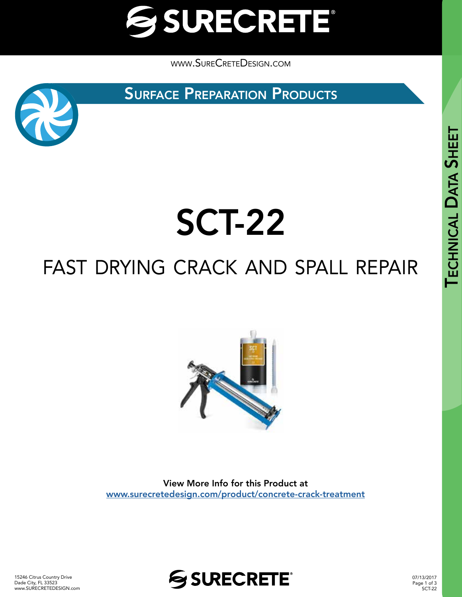

[www.SureCreteDesign.com](http://www.surecretedesign.com)

**SURFACE PREPARATION PRODUCTS** 



# SCT-22

### fast drying crack and spall repair



View More Info for this Product at [www.surecretedesign.com/product/concrete-crack-treatment](https://www.surecretedesign.com/product/concrete-crack-treatment/)



07/13/2017 Page 1 of 3 SCT-22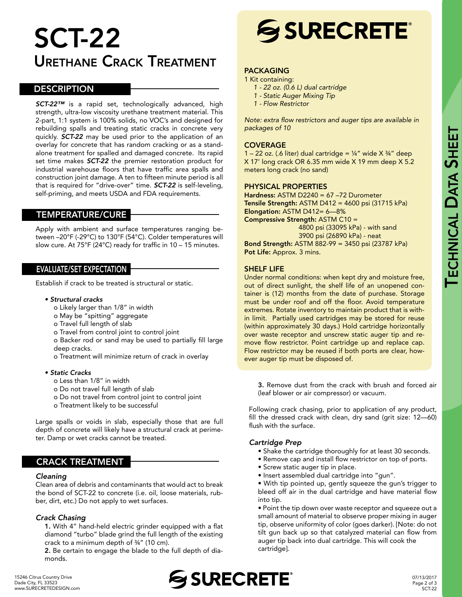### SCT-22 Urethane Crack Treatment

#### **DESCRIPTION**

*SCT-22™* is a rapid set, technologically advanced, high strength, ultra-low viscosity urethane treatment material. This 2-part, 1:1 system is 100% solids, no VOC's and designed for rebuilding spalls and treating static cracks in concrete very quickly. *SCT-22* may be used prior to the application of an overlay for concrete that has random cracking or as a standalone treatment for spalled and damaged concrete. Its rapid set time makes *SCT-22* the premier restoration product for industrial warehouse floors that have traffic area spalls and construction joint damage. A ten to fifteen minute period is all that is required for "drive-over" time. *SCT-22* is self-leveling, self-priming, and meets USDA and FDA requirements.

#### TEMPERATURE/CURE

Apply with ambient and surface temperatures ranging between –20°F (-29°C) to 130°F (54°C). Colder temperatures will slow cure. At 75°F (24°C) ready for traffic in 10 – 15 minutes.

#### EVALUATE/SET EXPECTATION

Establish if crack to be treated is structural or static.

#### *• Structural cracks*

- o Likely larger than 1/8" in width
- o May be "spitting" aggregate
- o Travel full length of slab
- o Travel from control joint to control joint

o Backer rod or sand may be used to partially fill large deep cracks.

o Treatment will minimize return of crack in overlay

#### *• Static Cracks*

- o Less than 1/8" in width
- o Do not travel full length of slab
- o Do not travel from control joint to control joint
- o Treatment likely to be successful

Large spalls or voids in slab, especially those that are full depth of concrete will likely have a structural crack at perimeter. Damp or wet cracks cannot be treated.

#### CRACK TREATMENT

#### *Cleaning*

Clean area of debris and contaminants that would act to break the bond of SCT-22 to concrete (i.e. oil, loose materials, rubber, dirt, etc.) Do not apply to wet surfaces.

#### *Crack Chasing*

1. With 4" hand-held electric grinder equipped with a flat diamond "turbo" blade grind the full length of the existing crack to a minimum depth of ¾" (10 cm).

2. Be certain to engage the blade to the full depth of diamonds.

## **SSURECRETE®**

#### PACKAGING

- 1 Kit containing:
	- *1 22 oz. (0.6 L) dual cartridge*
	- *1 Static Auger Mixing Tip*
	- *1 Flow Restrictor*

Note: extra flow restrictors and auger tips are available in *packages of 10*

#### **COVERAGE**

1 – 22 oz. (.6 liter) dual cartridge =  $\frac{1}{4}$ " wide X  $\frac{3}{4}$ " deep X 17' long crack OR 6.35 mm wide X 19 mm deep X 5.2 meters long crack (no sand)

#### PHYSICAL PROPERTIES

Hardness: ASTM D2240 = 67 -72 Durometer Tensile Strength: ASTM D412 = 4600 psi (31715 kPa) Elongation: ASTM D412= 6—8% Compressive Strength: ASTM C10 = 4800 psi (33095 kPa) - with sand 3900 psi (26890 kPa) - neat Bond Strength: ASTM 882-99 = 3450 psi (23787 kPa) Pot Life: Approx. 3 mins.

#### SHELF LIFE

Under normal conditions: when kept dry and moisture free, out of direct sunlight, the shelf life of an unopened container is (12) months from the date of purchase. Storage must be under roof and off the floor. Avoid temperature extremes. Rotate inventory to maintain product that is within limit. Partially used cartridges may be stored for reuse (within approximately 30 days.) Hold cartridge horizontally over waste receptor and unscrew static auger tip and remove flow restrictor. Point cartridge up and replace cap. Flow restrictor may be reused if both ports are clear, however auger tip must be disposed of.

3. Remove dust from the crack with brush and forced air (leaf blower or air compressor) or vacuum.

Following crack chasing, prior to application of any product, fill the dressed crack with clean, dry sand (grit size: 12—60) flush with the surface.

#### *Cartridge Prep*

- Shake the cartridge thoroughly for at least 30 seconds.
- Remove cap and install flow restrictor on top of ports.
- Screw static auger tip in place.
- Insert assembled dual cartridge into "gun".

• With tip pointed up, gently squeeze the gun's trigger to bleed off air in the dual cartridge and have material flow into tip.

• Point the tip down over waste receptor and squeeze out a small amount of material to observe proper mixing in auger tip, observe uniformity of color (goes darker). [Note: do not tilt gun back up so that catalyzed material can flow from auger tip back into dual cartridge. This will cook the cartridge].